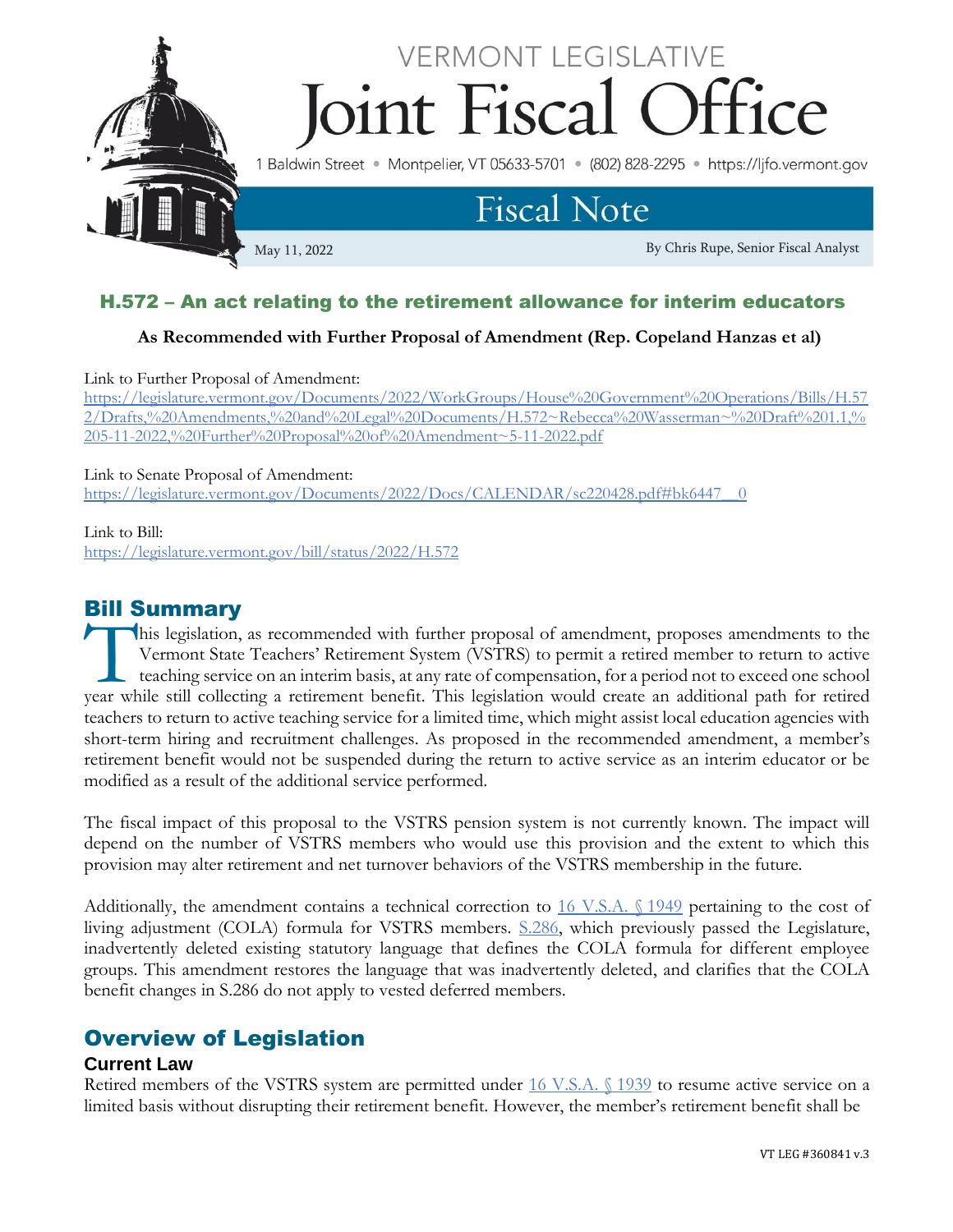

# H.572 – An act relating to the retirement allowance for interim educators

### **As Recommended with Further Proposal of Amendment (Rep. Copeland Hanzas et al)**

Link to Further Proposal of Amendment:

[https://legislature.vermont.gov/Documents/2022/WorkGroups/House%20Government%20Operations/Bills/H.57](https://legislature.vermont.gov/Documents/2022/WorkGroups/House%20Government%20Operations/Bills/H.572/Drafts,%20Amendments,%20and%20Legal%20Documents/H.572~Rebecca%20Wasserman~%20Draft%201.1,%205-11-2022,%20Further%20Proposal%20of%20Amendment~5-11-2022.pdf) [2/Drafts,%20Amendments,%20and%20Legal%20Documents/H.572~Rebecca%20Wasserman~%20Draft%201.1,%](https://legislature.vermont.gov/Documents/2022/WorkGroups/House%20Government%20Operations/Bills/H.572/Drafts,%20Amendments,%20and%20Legal%20Documents/H.572~Rebecca%20Wasserman~%20Draft%201.1,%205-11-2022,%20Further%20Proposal%20of%20Amendment~5-11-2022.pdf) [205-11-2022,%20Further%20Proposal%20of%20Amendment~5-11-2022.pdf](https://legislature.vermont.gov/Documents/2022/WorkGroups/House%20Government%20Operations/Bills/H.572/Drafts,%20Amendments,%20and%20Legal%20Documents/H.572~Rebecca%20Wasserman~%20Draft%201.1,%205-11-2022,%20Further%20Proposal%20of%20Amendment~5-11-2022.pdf)

#### Link to Senate Proposal of Amendment:

[https://legislature.vermont.gov/Documents/2022/Docs/CALENDAR/sc220428.pdf#bk6447\\_\\_0](https://legislature.vermont.gov/Documents/2022/Docs/CALENDAR/sc220428.pdf#bk6447__0)

#### Link to Bill:

<https://legislature.vermont.gov/bill/status/2022/H.572>

## Bill Summary

his legislation, as recommended with further proposal of amendment, proposes amendments to the Vermont State Teachers' Retirement System (VSTRS) to permit a retired member to return to active teaching service on an interim basis, at any rate of compensation, for a period not to exceed one school This legislation, as recommended with further proposal of amendment, proposes amendments to the Vermont State Teachers' Retirement System (VSTRS) to permit a retired member to return to active teaching service on an interi teachers to return to active teaching service for a limited time, which might assist local education agencies with short-term hiring and recruitment challenges. As proposed in the recommended amendment, a member's retirement benefit would not be suspended during the return to active service as an interim educator or be modified as a result of the additional service performed.

The fiscal impact of this proposal to the VSTRS pension system is not currently known. The impact will depend on the number of VSTRS members who would use this provision and the extent to which this provision may alter retirement and net turnover behaviors of the VSTRS membership in the future.

Additionally, the amendment contains a technical correction to [16 V.S.A. §](https://legislature.vermont.gov/statutes/section/16/055/01949) 1949 pertaining to the cost of living adjustment (COLA) formula for VSTRS members. [S.286,](https://legislature.vermont.gov/bill/status/2022/S.286) which previously passed the Legislature, inadvertently deleted existing statutory language that defines the COLA formula for different employee groups. This amendment restores the language that was inadvertently deleted, and clarifies that the COLA benefit changes in S.286 do not apply to vested deferred members.

## Overview of Legislation

#### **Current Law**

Retired members of the VSTRS system are permitted under [16 V.S.A. §](https://legislature.vermont.gov/statutes/section/16/055/01939) 1939 to resume active service on a limited basis without disrupting their retirement benefit. However, the member's retirement benefit shall be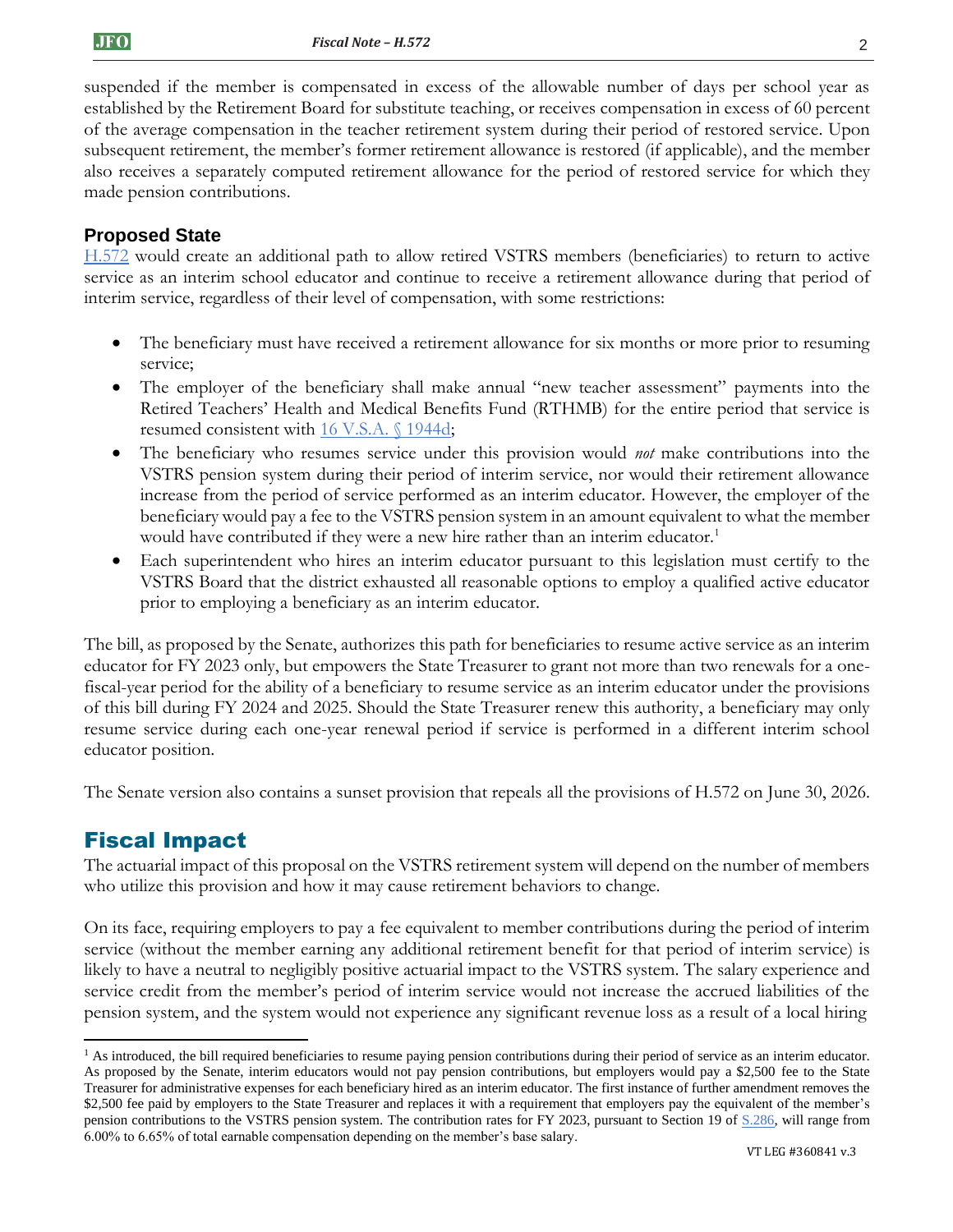suspended if the member is compensated in excess of the allowable number of days per school year as established by the Retirement Board for substitute teaching, or receives compensation in excess of 60 percent of the average compensation in the teacher retirement system during their period of restored service. Upon subsequent retirement, the member's former retirement allowance is restored (if applicable), and the member also receives a separately computed retirement allowance for the period of restored service for which they made pension contributions.

### **Proposed State**

[H.572](https://legislature.vermont.gov/bill/status/2022/H.572) would create an additional path to allow retired VSTRS members (beneficiaries) to return to active service as an interim school educator and continue to receive a retirement allowance during that period of interim service, regardless of their level of compensation, with some restrictions:

- The beneficiary must have received a retirement allowance for six months or more prior to resuming service;
- The employer of the beneficiary shall make annual "new teacher assessment" payments into the Retired Teachers' Health and Medical Benefits Fund (RTHMB) for the entire period that service is resumed consistent with [16 V.S.A. §](https://legislature.vermont.gov/statutes/section/16/055/01944d) 1944d;
- The beneficiary who resumes service under this provision would *not* make contributions into the VSTRS pension system during their period of interim service, nor would their retirement allowance increase from the period of service performed as an interim educator. However, the employer of the beneficiary would pay a fee to the VSTRS pension system in an amount equivalent to what the member would have contributed if they were a new hire rather than an interim educator.<sup>1</sup>
- Each superintendent who hires an interim educator pursuant to this legislation must certify to the VSTRS Board that the district exhausted all reasonable options to employ a qualified active educator prior to employing a beneficiary as an interim educator.

The bill, as proposed by the Senate, authorizes this path for beneficiaries to resume active service as an interim educator for FY 2023 only, but empowers the State Treasurer to grant not more than two renewals for a onefiscal-year period for the ability of a beneficiary to resume service as an interim educator under the provisions of this bill during FY 2024 and 2025. Should the State Treasurer renew this authority, a beneficiary may only resume service during each one-year renewal period if service is performed in a different interim school educator position.

The Senate version also contains a sunset provision that repeals all the provisions of H.572 on June 30, 2026.

# Fiscal Impact

The actuarial impact of this proposal on the VSTRS retirement system will depend on the number of members who utilize this provision and how it may cause retirement behaviors to change.

On its face, requiring employers to pay a fee equivalent to member contributions during the period of interim service (without the member earning any additional retirement benefit for that period of interim service) is likely to have a neutral to negligibly positive actuarial impact to the VSTRS system. The salary experience and service credit from the member's period of interim service would not increase the accrued liabilities of the pension system, and the system would not experience any significant revenue loss as a result of a local hiring

<sup>&</sup>lt;sup>1</sup> As introduced, the bill required beneficiaries to resume paying pension contributions during their period of service as an interim educator. As proposed by the Senate, interim educators would not pay pension contributions, but employers would pay a \$2,500 fee to the State Treasurer for administrative expenses for each beneficiary hired as an interim educator. The first instance of further amendment removes the \$2,500 fee paid by employers to the State Treasurer and replaces it with a requirement that employers pay the equivalent of the member's pension contributions to the VSTRS pension system. The contribution rates for FY 2023, pursuant to Section 19 o[f S.286,](https://legislature.vermont.gov/bill/status/2022/S.286) will range from 6.00% to 6.65% of total earnable compensation depending on the member's base salary.